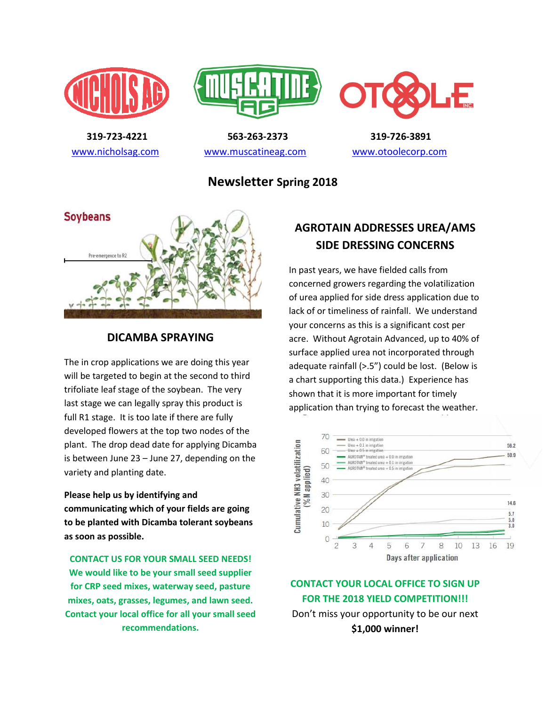





 **319-723-4221 563-263-2373 319-726-3891**  [www.nicholsag.com](http://www.nicholsag.com/) [www.muscatineag.com](http://www.muscatineag.com/) [www.otoolecorp.com](http://www.otoolecorp.com/)

**Newsletter Spring 2018** 



### **DICAMBA SPRAYING**

The in crop applications we are doing this year will be targeted to begin at the second to third trifoliate leaf stage of the soybean. The very last stage we can legally spray this product is full R1 stage. It is too late if there are fully developed flowers at the top two nodes of the plant. The drop dead date for applying Dicamba is between June 23 – June 27, depending on the variety and planting date.

**Please help us by identifying and communicating which of your fields are going to be planted with Dicamba tolerant soybeans as soon as possible.** 

**CONTACT US FOR YOUR SMALL SEED NEEDS! We would like to be your small seed supplier for CRP seed mixes, waterway seed, pasture mixes, oats, grasses, legumes, and lawn seed. Contact your local office for all your small seed recommendations.** 

## **AGROTAIN ADDRESSES UREA/AMS SIDE DRESSING CONCERNS**

In past years, we have fielded calls from concerned growers regarding the volatilization of urea applied for side dress application due to lack of or timeliness of rainfall. We understand your concerns as this is a significant cost per acre. Without Agrotain Advanced, up to 40% of surface applied urea not incorporated through adequate rainfall (>.5") could be lost. (Below is a chart supporting this data.) Experience has shown that it is more important for timely application than trying to forecast the weather.



**CONTACT YOUR LOCAL OFFICE TO SIGN UP FOR THE 2018 YIELD COMPETITION!!!**  Don't miss your opportunity to be our next **\$1,000 winner!**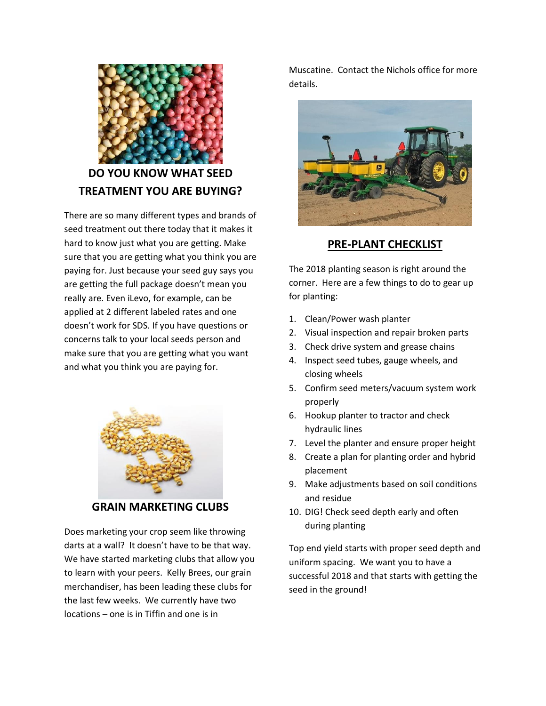

# **DO YOU KNOW WHAT SEED TREATMENT YOU ARE BUYING?**

There are so many different types and brands of seed treatment out there today that it makes it hard to know just what you are getting. Make sure that you are getting what you think you are paying for. Just because your seed guy says you are getting the full package doesn't mean you really are. Even iLevo, for example, can be applied at 2 different labeled rates and one doesn't work for SDS. If you have questions or concerns talk to your local seeds person and make sure that you are getting what you want and what you think you are paying for.



**GRAIN MARKETING CLUBS**

Does marketing your crop seem like throwing darts at a wall? It doesn't have to be that way. We have started marketing clubs that allow you to learn with your peers. Kelly Brees, our grain merchandiser, has been leading these clubs for the last few weeks. We currently have two locations – one is in Tiffin and one is in

Muscatine. Contact the Nichols office for more details.



### **PRE-PLANT CHECKLIST**

The 2018 planting season is right around the corner. Here are a few things to do to gear up for planting:

- 1. Clean/Power wash planter
- 2. Visual inspection and repair broken parts
- 3. Check drive system and grease chains
- 4. Inspect seed tubes, gauge wheels, and closing wheels
- 5. Confirm seed meters/vacuum system work properly
- 6. Hookup planter to tractor and check hydraulic lines
- 7. Level the planter and ensure proper height
- 8. Create a plan for planting order and hybrid placement
- 9. Make adjustments based on soil conditions and residue
- 10. DIG! Check seed depth early and often during planting

Top end yield starts with proper seed depth and uniform spacing. We want you to have a successful 2018 and that starts with getting the seed in the ground!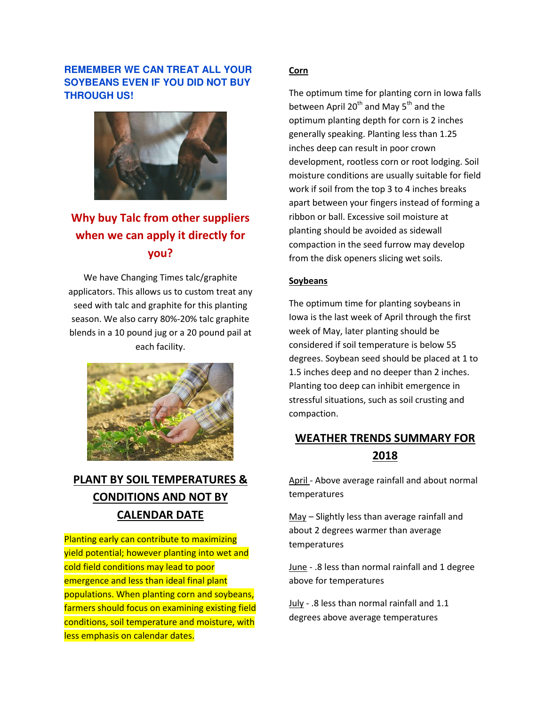#### **REMEMBER WE CAN TREAT ALL YOUR SOYBEANS EVEN IF YOU DID NOT BUY THROUGH US!**



# **Why buy Talc from other suppliers when we can apply it directly for you?**

We have Changing Times talc/graphite applicators. This allows us to custom treat any seed with talc and graphite for this planting season. We also carry 80%-20% talc graphite blends in a 10 pound jug or a 20 pound pail at each facility.



## **PLANT BY SOIL TEMPERATURES & CONDITIONS AND NOT BY CALENDAR DATE**

Planting early can contribute to maximizing yield potential; however planting into wet and cold field conditions may lead to poor emergence and less than ideal final plant populations. When planting corn and soybeans, farmers should focus on examining existing field conditions, soil temperature and moisture, with less emphasis on calendar dates.

#### **Corn**

The optimum time for planting corn in Iowa falls between April 20<sup>th</sup> and May 5<sup>th</sup> and the optimum planting depth for corn is 2 inches generally speaking. Planting less than 1.25 inches deep can result in poor crown development, rootless corn or root lodging. Soil moisture conditions are usually suitable for field work if soil from the top 3 to 4 inches breaks apart between your fingers instead of forming a ribbon or ball. Excessive soil moisture at planting should be avoided as sidewall compaction in the seed furrow may develop from the disk openers slicing wet soils.

#### **Soybeans**

The optimum time for planting soybeans in Iowa is the last week of April through the first week of May, later planting should be considered if soil temperature is below 55 degrees. Soybean seed should be placed at 1 to 1.5 inches deep and no deeper than 2 inches. Planting too deep can inhibit emergence in stressful situations, such as soil crusting and compaction.

## **WEATHER TRENDS SUMMARY FOR 2018**

April - Above average rainfall and about normal temperatures

May – Slightly less than average rainfall and about 2 degrees warmer than average temperatures

June - .8 less than normal rainfall and 1 degree above for temperatures

July - .8 less than normal rainfall and 1.1 degrees above average temperatures